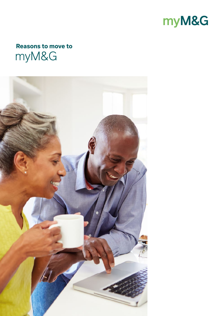

# **Reasons to move to** myM&G

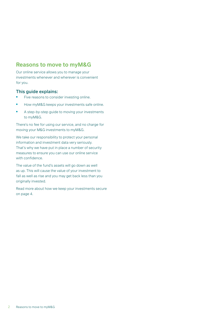# **Reasons to move to myM&G**

Our online service allows you to manage your investments whenever and wherever is convenient for you.

#### This guide explains:

- Five reasons to consider investing online.
- How myM&G keeps your investments safe online.
- A step-by-step guide to moving your investments to myM&G.

There's no fee for using our service, and no charge for moving your M&G investments to myM&G.

We take our responsibility to protect your personal information and investment data very seriously. That's why we have put in place a number of security measures to ensure you can use our online service with confidence.

The value of the fund's assets will go down as well as up. This will cause the value of your investment to fall as well as rise and you may get back less than you originally invested.

Read more about how we keep your investments secure on page 4.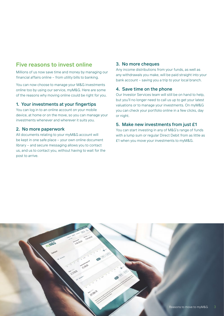# **Five reasons to invest online**

Millions of us now save time and money by managing our financial affairs online – from utility bills to banking.

You can now choose to manage your M&G investments online too by using our service, myM&G. Here are some of the reasons why moving online could be right for you.

#### 1. Your investments at your fingertips

You can log in to an online account on your mobile device, at home or on the move, so you can manage your investments whenever and wherever it suits you.

#### 2. No more paperwork

All documents relating to your myM&G account will be kept in one safe place – your own online document library – and secure messaging allows you to contact us, and us to contact you, without having to wait for the post to arrive.

#### 3. No more cheques

Any income distributions from your funds, as well as any withdrawals you make, will be paid straight into your bank account – saving you a trip to your local branch.

#### 4. Save time on the phone

Our Investor Services team will still be on hand to help, but you'll no longer need to call us up to get your latest valuations or to manage your investments. On myM&G you can check your portfolio online in a few clicks, day or night.

#### 5. Make new investments from just £1

You can start investing in any of M&G's range of funds with a lump sum or regular Direct Debit from as little as £1 when you move your investments to myM&G.

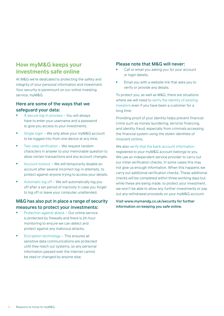# **How myM&G keeps your investments safe online**

At M&G we're dedicated to protecting the safety and integrity of your personal information and investment. Your security is paramount on our online investing service, myM&G.

### Here are some of the ways that we safeguard your data:

- A secure log-in process You will always have to enter your username and a password to give you access to your investments.
- Single login We only allow your myM&G account to be logged into from one device at any time.
- Two-step verification We request random characters in answer to your memorable question to allow certain transactions and any account changes.
- Account lockout We will temporarily disable an account after several incorrect log-in attempts, to protect against anyone trying to access your details.
- Automatic log off We will automatically log you off after a set period of inactivity in case you forget to log off or leave your computer unattended.

### M&G has also put in place a range of security measures to protect your investments:

- Protection against attack Our online service is protected by firewalls and there is 24-hour monitoring to ensure we can detect and protect against any malicious attacks.
- Encryption technology This ensures all sensitive data communications are protected until they reach our systems, so any personal information passed over the internet cannot be read or changed by anyone else.

### Please note that M&G will never:

- Call or email you asking you for your account or login details.
- Email you with a website link that asks you to verify or provide any details.

To protect you, as well as M&G, there are situations where we will need to verify the identity of existing investors even if you have been a customer for a long time.

Providing proof of your identity helps prevent financial crime such as money laundering, terrorist financing, and identity fraud; especially from criminals accessing the financial system using the stolen identities of innocent victims.

We also verify that the bank account information registered to your myM&G account belongs to you. We use an independent service provider to carry out our initial verification checks. In some cases this may not give us enough information. When this happens we carry out additional verification checks. These additional checks will be completed within three working days but while these are being made, to protect your investment. we won't be able to allow any further investments or pay out any withdrawal proceeds on your myM&G account.

#### Visit www.mymandg.co.uk/security for further information on keeping you safe online.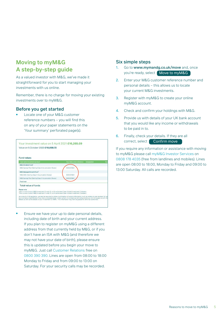# **Moving to myM&G A step-by-step guide**

As a valued investor with M&G, we've made it straightforward for you to start managing your investments with us online.

Remember, there is no charge for moving your existing investments over to myM&G.

#### Before you get started

Locate one of your M&G customer reference numbers – you will find this on any of your paper statements on the 'Your summary' perforated page(s).

| <b>Your M&amp;G client reference</b><br>Designation                                            | Nu                                                                                                           |
|------------------------------------------------------------------------------------------------|--------------------------------------------------------------------------------------------------------------|
|                                                                                                |                                                                                                              |
|                                                                                                |                                                                                                              |
|                                                                                                |                                                                                                              |
| 0000431664                                                                                     |                                                                                                              |
| 0000431664                                                                                     |                                                                                                              |
|                                                                                                |                                                                                                              |
|                                                                                                |                                                                                                              |
|                                                                                                |                                                                                                              |
| "This is a sub-fund of MSG investment Funds (4), a UK authorised Doen-Ended Investment Company |                                                                                                              |
|                                                                                                | 0000431664<br>"This is a sub-fund of M&G investment Funds (3), a UK authorised Open-Ended investment Company |

**•** Ensure we have your up to date personal details, including date of birth and your current address. If you plan to register on myM&G using a different address from that currently held by M&G, or if you don't have an ISA with M&G (and therefore we may not have your date of birth), please ensure this is updated before you begin your move to myM&G. Just call Customer Relations free on 0800 390 390. Lines are open from 08:00 to 18:00 Monday to Friday and from 09:00 to 13:00 on Saturday. For your security calls may be recorded.

#### Six simple steps

- 1. Go to www.mymandg.co.uk/move and, once you're ready, select Move to myM&G
- 2. Enter your M&G customer reference number and personal details – this allows us to locate your current M&G investments.
- 3. Register with myM&G to create your online myM&G account.
- 4. Check and confirm your holdings with M&G.
- 5. Provide us with details of your UK bank account that you would like any income or withdrawals to be paid in to.
- 6. Finally, check your details. If they are all correct, select **Confirm move**

If you require any information or assistance with moving to myM&G please call myM&G Investor Services on 0808 178 4035 (free from landlines and mobiles). Lines are open 08:00 to 18:00, Monday to Friday and 09:00 to 13:00 Saturday. All calls are recorded.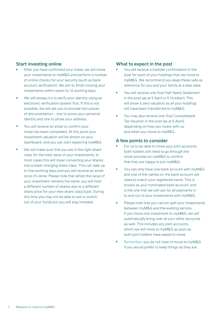#### Start investing online

- After you have confirmed your move, we will move your investments to myM&G and perform a number of online checks for your security (such as bank account verification). We aim to finish moving your investments within seven to 12 working days.
- We will always try to verify your identity using an electronic verification system first. If this is not possible, we will ask you to provide two pieces of documentation – one to prove your personal identity and one to prove your address.
- You will receive an email to confirm your move has been completed. At this point your investment valuation will be shown on your dashboard, and you can start exploring myM&G.
- We will make sure that you are in the right share class for the total value of your investments. In most cases this will mean converting your shares into a lower charging share class. This can take up to five working days and you will receive an email once it's done. Please note that whilst the value of your investment remains the same, you will hold a different number of shares due to a different share price for your new share class/type. During this time you may not be able to sell or switch out of your funds but you will stay invested.

#### What to expect in the post

- You will receive a transfer confirmation in the post for each of your holdings that we move to myM&G. We recommend you keep these safe as reference for you and your family at a later date.
- You will receive one final Half Yearly Statement in the post (as at 5 April or 5 October). This will show a zero valuation as all your holdings will have been transferred to myM&G.
- You may also receive one final Consolidated Tax Voucher in the post (as at 5 April), depending on how you invest with us and when you move to myM&G.

#### A few points to consider

- For us to be able to move your joint accounts, both holders will need to go through the move process on myM&G to confirm that they are happy to join myM&G.
- You can only have one bank account with myM&G and one of the names on the bank account will need to match your registered name. This is known as your nominated bank account, and is the one that we will use for all payments in to and out of your investments with myM&G.
- Please note that you cannot split your investments between myM&G and the existing service. If you move one investment to myM&G, we will automatically bring over all your other accounts as well. This includes any joint accounts, which we will move to myM&G as soon as both joint holders have asked to move.
- Remember, you do not have to move to myM&G if you would prefer to keep things as they are.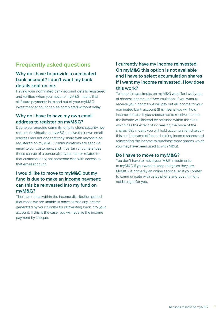# **Frequently asked questions**

## Why do I have to provide a nominated bank account? I don't want my bank details kept online.

Having your nominated bank account details registered and verified when you move to myM&G means that all future payments in to and out of your myM&G investment account can be completed without delay.

### Why do I have to have my own email address to register on myM&G?

Due to our ongoing commitments to client security, we require individuals on myM&G to have their own email address and not one that they share with anyone else registered on myM&G. Communications are sent via email to our customers, and in certain circumstances these can be of a personal/private matter related to that customer only, not someone else with access to that email account.

### I would like to move to myM&G but my fund is due to make an income payment; can this be reinvested into my fund on myM&G?

There are times within the income distribution period that mean we are unable to move across any income generated by your fund(s) for reinvesting back into your account. If this is the case, you will receive the income payment by cheque.

# I currently have my income reinvested. On myM&G this option is not available and I have to select accumulation shares if I want my income reinvested. How does this work?

To keep things simple, on myM&G we offer two types of shares: Income and Accumulation. If you want to receive your income we will pay out all income to your nominated bank account (this means you will hold income shares). If you choose not to receive income, the income will instead be retained within the fund which has the effect of increasing the price of the shares (this means you will hold accumulation shares – this has the same effect as holding income shares and reinvesting the income to purchase more shares which you may have been used to with M&G).

### Do I have to move to myM&G?

You don't have to move your M&G investments to myM&G if you want to keep things as they are. MyM&G is primarily an online service, so if you prefer to communicate with us by phone and post it might not be right for you.